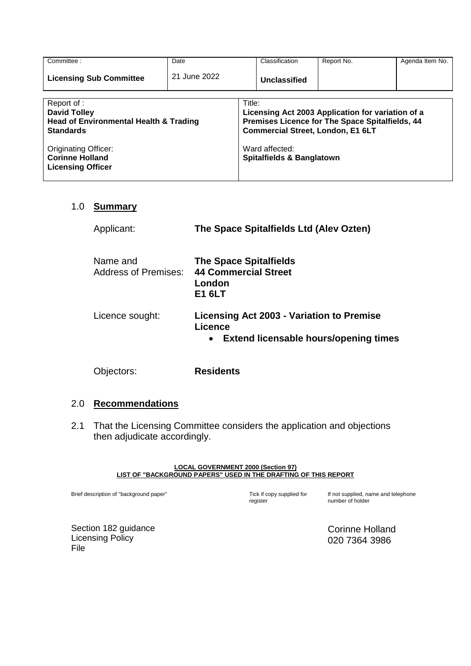| Committee:                                                                                                                          | Date         |                                                                                                                                                                              | Classification | Report No. | Agenda Item No. |
|-------------------------------------------------------------------------------------------------------------------------------------|--------------|------------------------------------------------------------------------------------------------------------------------------------------------------------------------------|----------------|------------|-----------------|
| <b>Licensing Sub Committee</b>                                                                                                      | 21 June 2022 |                                                                                                                                                                              | Unclassified   |            |                 |
| Report of :<br><b>David Tolley</b><br><b>Head of Environmental Health &amp; Trading</b><br><b>Standards</b><br>Originating Officer: |              | Title:<br>Licensing Act 2003 Application for variation of a<br>Premises Licence for The Space Spitalfields, 44<br><b>Commercial Street, London, E1 6LT</b><br>Ward affected: |                |            |                 |
| <b>Corinne Holland</b><br><b>Licensing Officer</b>                                                                                  |              | <b>Spitalfields &amp; Banglatown</b>                                                                                                                                         |                |            |                 |

#### 1.0 **Summary**

| Applicant:                              | The Space Spitalfields Ltd (Alev Ozten)                                                            |  |
|-----------------------------------------|----------------------------------------------------------------------------------------------------|--|
| Name and<br><b>Address of Premises:</b> | <b>The Space Spitalfields</b><br><b>44 Commercial Street</b><br>London<br>E1 6LT                   |  |
| Licence sought:                         | Licensing Act 2003 - Variation to Premise<br>Licence<br>Extend licensable hours/opening times<br>٠ |  |
| )biectors:                              | <b>Residents</b>                                                                                   |  |

#### 2.0 **Recommendations**

2.1 That the Licensing Committee considers the application and objections then adjudicate accordingly.

#### **LOCAL GOVERNMENT 2000 (Section 97) LIST OF "BACKGROUND PAPERS" USED IN THE DRAFTING OF THIS REPORT**

Brief description of "background paper" Tick if copy supplied for

register

If not supplied, name and telephone number of holder

Section 182 guidance Licensing Policy File

Corinne Holland 020 7364 3986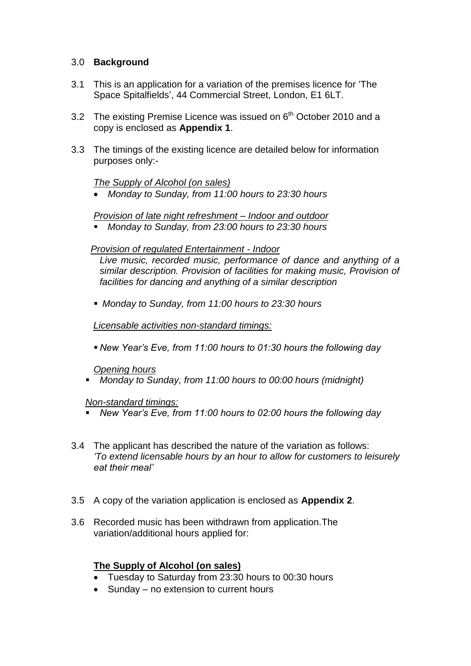#### 3.0 **Background**

- 3.1 This is an application for a variation of the premises licence for 'The Space Spitalfields', 44 Commercial Street, London, E1 6LT.
- 3.2 The existing Premise Licence was issued on  $6<sup>th</sup>$  October 2010 and a copy is enclosed as **Appendix 1**.
- 3.3 The timings of the existing licence are detailed below for information purposes only:-

#### *The Supply of Alcohol (on sales)*

*Monday to Sunday, from 11:00 hours to 23:30 hours*

#### *Provision of late night refreshment – Indoor and outdoor*

 *Monday to Sunday, from 23:00 hours to 23:30 hours*

#### *Provision of regulated Entertainment - Indoor*

*Live music, recorded music, performance of dance and anything of a similar description. Provision of facilities for making music, Provision of facilities for dancing and anything of a similar description*

*Monday to Sunday, from 11:00 hours to 23:30 hours*

 *Licensable activities non-standard timings:*

*New Year's Eve, from 11:00 hours to 01:30 hours the following day*

#### *Opening hours*

*Monday to Sunday, from 11:00 hours to 00:00 hours (midnight)*

#### *Non-standard timings:*

- *New Year's Eve, from 11:00 hours to 02:00 hours the following day*
- 3.4 The applicant has described the nature of the variation as follows: *'To extend licensable hours by an hour to allow for customers to leisurely eat their meal'*
- 3.5 A copy of the variation application is enclosed as **Appendix 2**.
- 3.6 Recorded music has been withdrawn from application.The variation/additional hours applied for:

# **The Supply of Alcohol (on sales)**

- Tuesday to Saturday from 23:30 hours to 00:30 hours
- Sunday no extension to current hours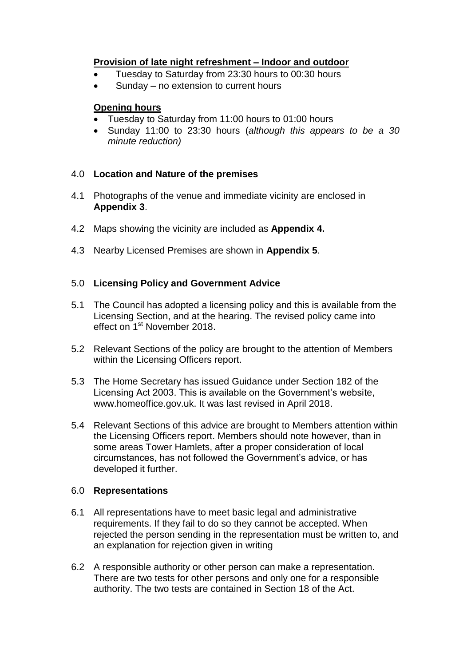# **Provision of late night refreshment – Indoor and outdoor**

- Tuesday to Saturday from 23:30 hours to 00:30 hours
- Sunday no extension to current hours

# **Opening hours**

- Tuesday to Saturday from 11:00 hours to 01:00 hours
- Sunday 11:00 to 23:30 hours (*although this appears to be a 30 minute reduction)*

# 4.0 **Location and Nature of the premises**

- 4.1 Photographs of the venue and immediate vicinity are enclosed in **Appendix 3**.
- 4.2 Maps showing the vicinity are included as **Appendix 4.**
- 4.3 Nearby Licensed Premises are shown in **Appendix 5**.

# 5.0 **Licensing Policy and Government Advice**

- 5.1 The Council has adopted a licensing policy and this is available from the Licensing Section, and at the hearing. The revised policy came into effect on 1<sup>st</sup> November 2018.
- 5.2 Relevant Sections of the policy are brought to the attention of Members within the Licensing Officers report.
- 5.3 The Home Secretary has issued Guidance under Section 182 of the Licensing Act 2003. This is available on the Government's website, [www.homeoffice.gov.uk.](http://www.culture.gov.uk/) It was last revised in April 2018.
- 5.4 Relevant Sections of this advice are brought to Members attention within the Licensing Officers report. Members should note however, than in some areas Tower Hamlets, after a proper consideration of local circumstances, has not followed the Government's advice, or has developed it further.

# 6.0 **Representations**

- 6.1 All representations have to meet basic legal and administrative requirements. If they fail to do so they cannot be accepted. When rejected the person sending in the representation must be written to, and an explanation for rejection given in writing
- 6.2 A responsible authority or other person can make a representation. There are two tests for other persons and only one for a responsible authority. The two tests are contained in Section 18 of the Act.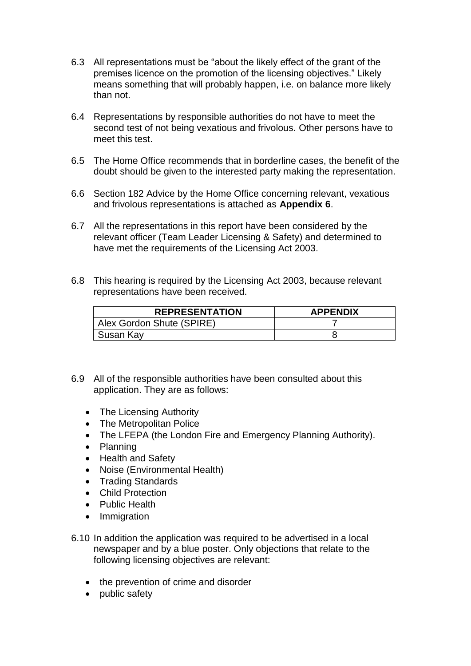- 6.3 All representations must be "about the likely effect of the grant of the premises licence on the promotion of the licensing objectives." Likely means something that will probably happen, i.e. on balance more likely than not.
- 6.4 Representations by responsible authorities do not have to meet the second test of not being vexatious and frivolous. Other persons have to meet this test.
- 6.5 The Home Office recommends that in borderline cases, the benefit of the doubt should be given to the interested party making the representation.
- 6.6 Section 182 Advice by the Home Office concerning relevant, vexatious and frivolous representations is attached as **Appendix 6**.
- 6.7 All the representations in this report have been considered by the relevant officer (Team Leader Licensing & Safety) and determined to have met the requirements of the Licensing Act 2003.
- 6.8 This hearing is required by the Licensing Act 2003, because relevant representations have been received.

| <b>REPRESENTATION</b>     | <b>APPENDIX</b> |
|---------------------------|-----------------|
| Alex Gordon Shute (SPIRE) |                 |
| Susan Kay                 |                 |

- 6.9 All of the responsible authorities have been consulted about this application. They are as follows:
	- The Licensing Authority
	- The Metropolitan Police
	- The LFEPA (the London Fire and Emergency Planning Authority).
	- Planning
	- Health and Safety
	- Noise (Environmental Health)
	- Trading Standards
	- Child Protection
	- Public Health
	- Immigration
- 6.10 In addition the application was required to be advertised in a local newspaper and by a blue poster. Only objections that relate to the following licensing objectives are relevant:
	- the prevention of crime and disorder
	- public safety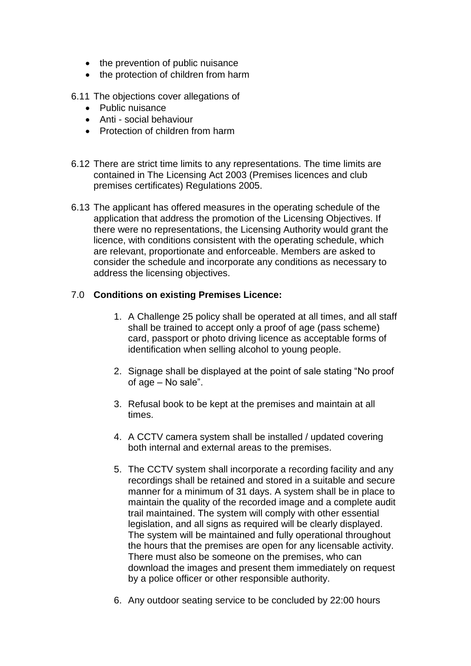- the prevention of public nuisance
- the protection of children from harm
- 6.11 The objections cover allegations of
	- Public nuisance
	- Anti social behaviour
	- Protection of children from harm
- 6.12 There are strict time limits to any representations. The time limits are contained in The Licensing Act 2003 (Premises licences and club premises certificates) Regulations 2005.
- 6.13 The applicant has offered measures in the operating schedule of the application that address the promotion of the Licensing Objectives. If there were no representations, the Licensing Authority would grant the licence, with conditions consistent with the operating schedule, which are relevant, proportionate and enforceable. Members are asked to consider the schedule and incorporate any conditions as necessary to address the licensing objectives.

# 7.0 **Conditions on existing Premises Licence:**

- 1. A Challenge 25 policy shall be operated at all times, and all staff shall be trained to accept only a proof of age (pass scheme) card, passport or photo driving licence as acceptable forms of identification when selling alcohol to young people.
- 2. Signage shall be displayed at the point of sale stating "No proof of age – No sale".
- 3. Refusal book to be kept at the premises and maintain at all times.
- 4. A CCTV camera system shall be installed / updated covering both internal and external areas to the premises.
- 5. The CCTV system shall incorporate a recording facility and any recordings shall be retained and stored in a suitable and secure manner for a minimum of 31 days. A system shall be in place to maintain the quality of the recorded image and a complete audit trail maintained. The system will comply with other essential legislation, and all signs as required will be clearly displayed. The system will be maintained and fully operational throughout the hours that the premises are open for any licensable activity. There must also be someone on the premises, who can download the images and present them immediately on request by a police officer or other responsible authority.
- 6. Any outdoor seating service to be concluded by 22:00 hours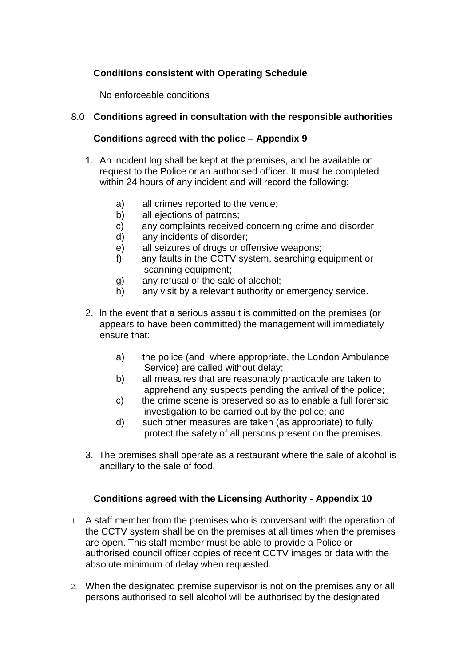# **Conditions consistent with Operating Schedule**

No enforceable conditions

# 8.0 **Conditions agreed in consultation with the responsible authorities**

#### **Conditions agreed with the police – Appendix 9**

- 1. An incident log shall be kept at the premises, and be available on request to the Police or an authorised officer. It must be completed within 24 hours of any incident and will record the following:
	- a) all crimes reported to the venue;
	- b) all ejections of patrons;
	- c) any complaints received concerning crime and disorder
	- d) any incidents of disorder;
	- e) all seizures of drugs or offensive weapons;
	- f) any faults in the CCTV system, searching equipment or scanning equipment;
	- g) any refusal of the sale of alcohol;
	- h) any visit by a relevant authority or emergency service.
- 2. In the event that a serious assault is committed on the premises (or appears to have been committed) the management will immediately ensure that:
	- a) the police (and, where appropriate, the London Ambulance Service) are called without delay;
	- b) all measures that are reasonably practicable are taken to apprehend any suspects pending the arrival of the police;
	- c) the crime scene is preserved so as to enable a full forensic investigation to be carried out by the police; and
	- d) such other measures are taken (as appropriate) to fully protect the safety of all persons present on the premises.
- 3. The premises shall operate as a restaurant where the sale of alcohol is ancillary to the sale of food.

# **Conditions agreed with the Licensing Authority - Appendix 10**

- 1. A staff member from the premises who is conversant with the operation of the CCTV system shall be on the premises at all times when the premises are open. This staff member must be able to provide a Police or authorised council officer copies of recent CCTV images or data with the absolute minimum of delay when requested.
- 2. When the designated premise supervisor is not on the premises any or all persons authorised to sell alcohol will be authorised by the designated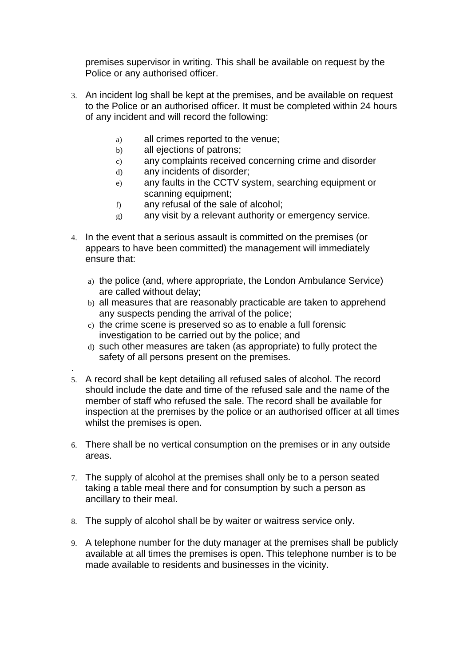premises supervisor in writing. This shall be available on request by the Police or any authorised officer.

- 3. An incident log shall be kept at the premises, and be available on request to the Police or an authorised officer. It must be completed within 24 hours of any incident and will record the following:
	- a) all crimes reported to the venue;
	- b) all ejections of patrons;
	- c) any complaints received concerning crime and disorder
	- d) any incidents of disorder;

.

- e) any faults in the CCTV system, searching equipment or scanning equipment;
- f) any refusal of the sale of alcohol;
- g) any visit by a relevant authority or emergency service.
- 4. In the event that a serious assault is committed on the premises (or appears to have been committed) the management will immediately ensure that:
	- a) the police (and, where appropriate, the London Ambulance Service) are called without delay;
	- b) all measures that are reasonably practicable are taken to apprehend any suspects pending the arrival of the police;
	- c) the crime scene is preserved so as to enable a full forensic investigation to be carried out by the police; and
	- d) such other measures are taken (as appropriate) to fully protect the safety of all persons present on the premises.
- 5. A record shall be kept detailing all refused sales of alcohol. The record should include the date and time of the refused sale and the name of the member of staff who refused the sale. The record shall be available for inspection at the premises by the police or an authorised officer at all times whilst the premises is open.
- 6. There shall be no vertical consumption on the premises or in any outside areas.
- 7. The supply of alcohol at the premises shall only be to a person seated taking a table meal there and for consumption by such a person as ancillary to their meal.
- 8. The supply of alcohol shall be by waiter or waitress service only.
- 9. A telephone number for the duty manager at the premises shall be publicly available at all times the premises is open. This telephone number is to be made available to residents and businesses in the vicinity.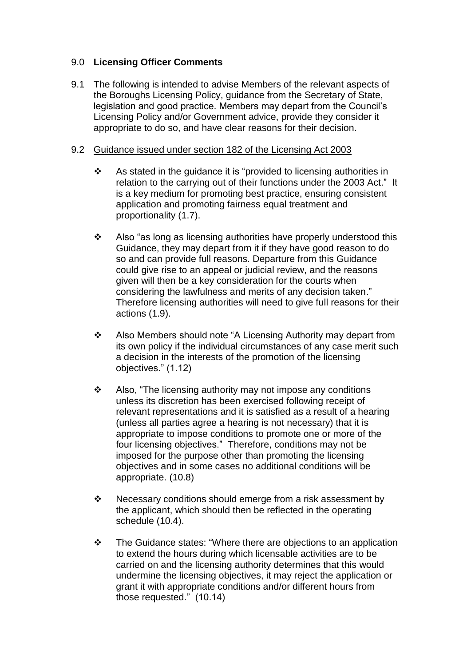#### 9.0 **Licensing Officer Comments**

9.1 The following is intended to advise Members of the relevant aspects of the Boroughs Licensing Policy, guidance from the Secretary of State, legislation and good practice. Members may depart from the Council's Licensing Policy and/or Government advice, provide they consider it appropriate to do so, and have clear reasons for their decision.

#### 9.2 Guidance issued under section 182 of the Licensing Act 2003

- $\cdot$  As stated in the quidance it is "provided to licensing authorities in relation to the carrying out of their functions under the 2003 Act." It is a key medium for promoting best practice, ensuring consistent application and promoting fairness equal treatment and proportionality (1.7).
- $\div$  Also "as long as licensing authorities have properly understood this Guidance, they may depart from it if they have good reason to do so and can provide full reasons. Departure from this Guidance could give rise to an appeal or judicial review, and the reasons given will then be a key consideration for the courts when considering the lawfulness and merits of any decision taken." Therefore licensing authorities will need to give full reasons for their actions (1.9).
- Also Members should note "A Licensing Authority may depart from its own policy if the individual circumstances of any case merit such a decision in the interests of the promotion of the licensing objectives." (1.12)
- $\div$  Also, "The licensing authority may not impose any conditions unless its discretion has been exercised following receipt of relevant representations and it is satisfied as a result of a hearing (unless all parties agree a hearing is not necessary) that it is appropriate to impose conditions to promote one or more of the four licensing objectives." Therefore, conditions may not be imposed for the purpose other than promoting the licensing objectives and in some cases no additional conditions will be appropriate. (10.8)
- $\div$  Necessary conditions should emerge from a risk assessment by the applicant, which should then be reflected in the operating schedule (10.4).
- The Guidance states: "Where there are objections to an application to extend the hours during which licensable activities are to be carried on and the licensing authority determines that this would undermine the licensing objectives, it may reject the application or grant it with appropriate conditions and/or different hours from those requested." (10.14)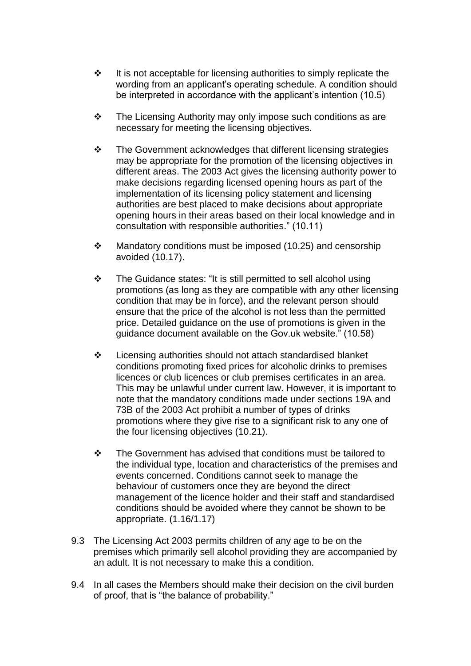- $\cdot \cdot$  It is not acceptable for licensing authorities to simply replicate the wording from an applicant's operating schedule. A condition should be interpreted in accordance with the applicant's intention (10.5)
- $\div$  The Licensing Authority may only impose such conditions as are necessary for meeting the licensing objectives.
- \* The Government acknowledges that different licensing strategies may be appropriate for the promotion of the licensing objectives in different areas. The 2003 Act gives the licensing authority power to make decisions regarding licensed opening hours as part of the implementation of its licensing policy statement and licensing authorities are best placed to make decisions about appropriate opening hours in their areas based on their local knowledge and in consultation with responsible authorities." (10.11)
- $\cdot$  Mandatory conditions must be imposed (10.25) and censorship avoided (10.17).
- The Guidance states: "It is still permitted to sell alcohol using promotions (as long as they are compatible with any other licensing condition that may be in force), and the relevant person should ensure that the price of the alcohol is not less than the permitted price. Detailed guidance on the use of promotions is given in the guidance document available on the Gov.uk website." (10.58)
- $\div$  Licensing authorities should not attach standardised blanket conditions promoting fixed prices for alcoholic drinks to premises licences or club licences or club premises certificates in an area. This may be unlawful under current law. However, it is important to note that the mandatory conditions made under sections 19A and 73B of the 2003 Act prohibit a number of types of drinks promotions where they give rise to a significant risk to any one of the four licensing objectives (10.21).
- $\div$  The Government has advised that conditions must be tailored to the individual type, location and characteristics of the premises and events concerned. Conditions cannot seek to manage the behaviour of customers once they are beyond the direct management of the licence holder and their staff and standardised conditions should be avoided where they cannot be shown to be appropriate. (1.16/1.17)
- 9.3 The Licensing Act 2003 permits children of any age to be on the premises which primarily sell alcohol providing they are accompanied by an adult. It is not necessary to make this a condition.
- 9.4 In all cases the Members should make their decision on the civil burden of proof, that is "the balance of probability."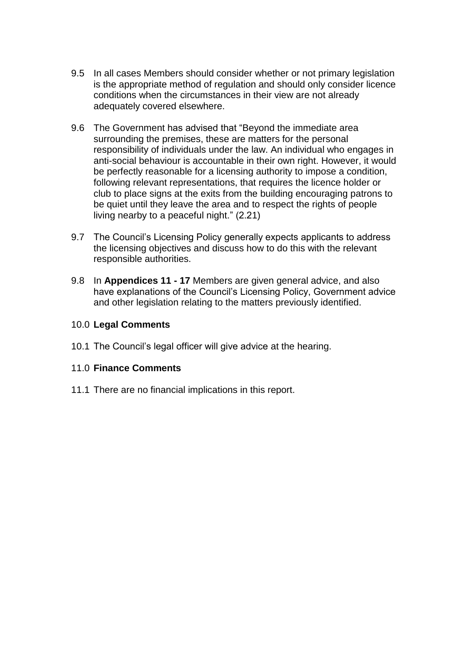- 9.5 In all cases Members should consider whether or not primary legislation is the appropriate method of regulation and should only consider licence conditions when the circumstances in their view are not already adequately covered elsewhere.
- 9.6 The Government has advised that "Beyond the immediate area surrounding the premises, these are matters for the personal responsibility of individuals under the law. An individual who engages in anti-social behaviour is accountable in their own right. However, it would be perfectly reasonable for a licensing authority to impose a condition, following relevant representations, that requires the licence holder or club to place signs at the exits from the building encouraging patrons to be quiet until they leave the area and to respect the rights of people living nearby to a peaceful night." (2.21)
- 9.7 The Council's Licensing Policy generally expects applicants to address the licensing objectives and discuss how to do this with the relevant responsible authorities.
- 9.8 In **Appendices 11 - 17** Members are given general advice, and also have explanations of the Council's Licensing Policy, Government advice and other legislation relating to the matters previously identified.

#### 10.0 **Legal Comments**

10.1 The Council's legal officer will give advice at the hearing.

#### 11.0 **Finance Comments**

11.1 There are no financial implications in this report.